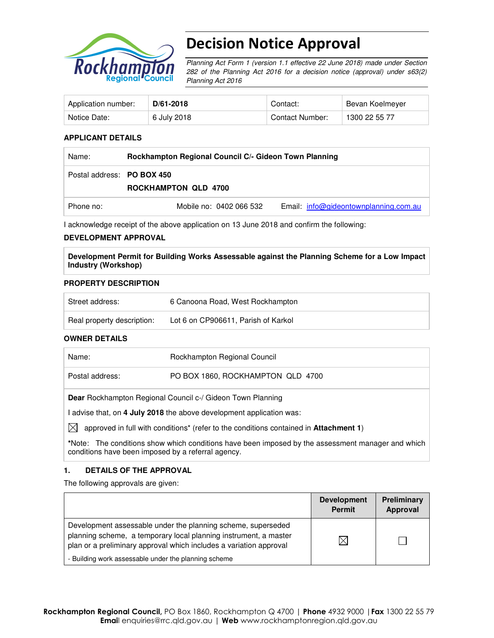

# Decision Notice Approval

Planning Act Form 1 (version 1.1 effective 22 June 2018) made under Section 282 of the Planning Act 2016 for a decision notice (approval) under s63(2) Planning Act 2016

| Application number: | D/61-2018   | Contact:        | Bevan Koelmeyer |
|---------------------|-------------|-----------------|-----------------|
| Notice Date:        | 6 July 2018 | Contact Number: | 1300 22 55 77   |

### **APPLICANT DETAILS**

| Name:                      | Rockhampton Regional Council C/- Gideon Town Planning |                                         |  |
|----------------------------|-------------------------------------------------------|-----------------------------------------|--|
| Postal address: PO BOX 450 | <b>ROCKHAMPTON QLD 4700</b>                           |                                         |  |
| Phone no:                  | Mobile no: 0402 066 532                               | Email: $info@qideontownplanning.com.au$ |  |

I acknowledge receipt of the above application on 13 June 2018 and confirm the following:

#### **DEVELOPMENT APPROVAL**

**Development Permit for Building Works Assessable against the Planning Scheme for a Low Impact Industry (Workshop)** 

#### **PROPERTY DESCRIPTION**

| Street address:            | 6 Canoona Road, West Rockhampton    |
|----------------------------|-------------------------------------|
| Real property description: | Lot 6 on CP906611, Parish of Karkol |

### **OWNER DETAILS**

| Name:           | Rockhampton Regional Council                                                                             |
|-----------------|----------------------------------------------------------------------------------------------------------|
| Postal address: | PO BOX 1860, ROCKHAMPTON QLD 4700                                                                        |
|                 | <b>Dear</b> Rockhampton Regional Council c-/ Gideon Town Planning                                        |
|                 | advise that, on 4 July 2018 the above development application was:                                       |
| IXI             | approved in full with conditions <sup>*</sup> (refer to the conditions contained in <b>Attachment 1)</b> |
|                 | *Note: The conditions show which conditions have been imposed by the assessment manager and which        |

### **1. DETAILS OF THE APPROVAL**

conditions have been imposed by a referral agency.

The following approvals are given:

|                                                                                                                                                                                                        | <b>Development</b><br><b>Permit</b> | Preliminary<br>Approval |
|--------------------------------------------------------------------------------------------------------------------------------------------------------------------------------------------------------|-------------------------------------|-------------------------|
| Development assessable under the planning scheme, superseded<br>planning scheme, a temporary local planning instrument, a master<br>plan or a preliminary approval which includes a variation approval |                                     |                         |
| - Building work assessable under the planning scheme                                                                                                                                                   |                                     |                         |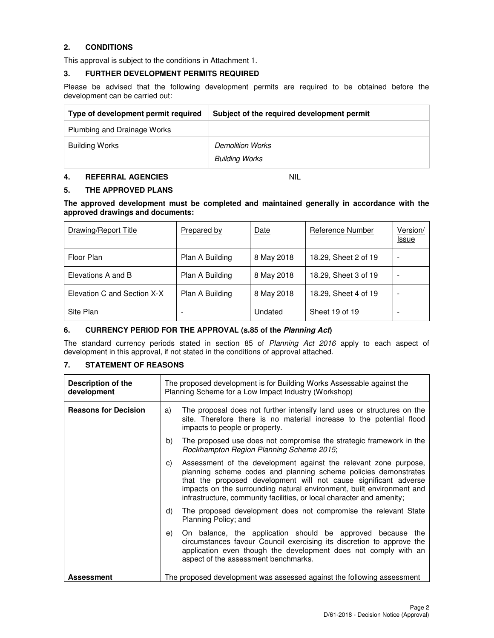## **2. CONDITIONS**

This approval is subject to the conditions in Attachment 1.

#### **3. FURTHER DEVELOPMENT PERMITS REQUIRED**

Please be advised that the following development permits are required to be obtained before the development can be carried out:

| Type of development permit required | Subject of the required development permit |
|-------------------------------------|--------------------------------------------|
| Plumbing and Drainage Works         |                                            |
| <b>Building Works</b>               | <b>Demolition Works</b>                    |
|                                     | <b>Building Works</b>                      |

#### **4. REFERRAL AGENCIES** NIL

## **5. THE APPROVED PLANS**

**The approved development must be completed and maintained generally in accordance with the approved drawings and documents:** 

| Drawing/Report Title        | <b>Prepared by</b> | Date       | Reference Number     | Version/<br>Issue        |
|-----------------------------|--------------------|------------|----------------------|--------------------------|
| Floor Plan                  | Plan A Building    | 8 May 2018 | 18.29, Sheet 2 of 19 | $\overline{\phantom{a}}$ |
| Elevations A and B          | Plan A Building    | 8 May 2018 | 18.29, Sheet 3 of 19 | $\overline{\phantom{a}}$ |
| Elevation C and Section X-X | Plan A Building    | 8 May 2018 | 18.29, Sheet 4 of 19 | $\overline{\phantom{a}}$ |
| Site Plan                   | -                  | Undated    | Sheet 19 of 19       | $\overline{\phantom{a}}$ |

### **6. CURRENCY PERIOD FOR THE APPROVAL (s.85 of the Planning Act)**

The standard currency periods stated in section 85 of Planning Act 2016 apply to each aspect of development in this approval, if not stated in the conditions of approval attached.

### **7. STATEMENT OF REASONS**

| Description of the<br>development | The proposed development is for Building Works Assessable against the<br>Planning Scheme for a Low Impact Industry (Workshop)                                                                                                                                                                                                                                   |  |  |
|-----------------------------------|-----------------------------------------------------------------------------------------------------------------------------------------------------------------------------------------------------------------------------------------------------------------------------------------------------------------------------------------------------------------|--|--|
| <b>Reasons for Decision</b>       | The proposal does not further intensify land uses or structures on the<br>a)<br>site. Therefore there is no material increase to the potential flood<br>impacts to people or property.                                                                                                                                                                          |  |  |
|                                   | The proposed use does not compromise the strategic framework in the<br>b)<br>Rockhampton Region Planning Scheme 2015;                                                                                                                                                                                                                                           |  |  |
|                                   | Assessment of the development against the relevant zone purpose,<br>C)<br>planning scheme codes and planning scheme policies demonstrates<br>that the proposed development will not cause significant adverse<br>impacts on the surrounding natural environment, built environment and<br>infrastructure, community facilities, or local character and amenity; |  |  |
|                                   | The proposed development does not compromise the relevant State<br>d)<br>Planning Policy; and                                                                                                                                                                                                                                                                   |  |  |
|                                   | On balance, the application should be approved because the<br>e)<br>circumstances favour Council exercising its discretion to approve the<br>application even though the development does not comply with an<br>aspect of the assessment benchmarks.                                                                                                            |  |  |
| <b>Assessment</b>                 | The proposed development was assessed against the following assessment                                                                                                                                                                                                                                                                                          |  |  |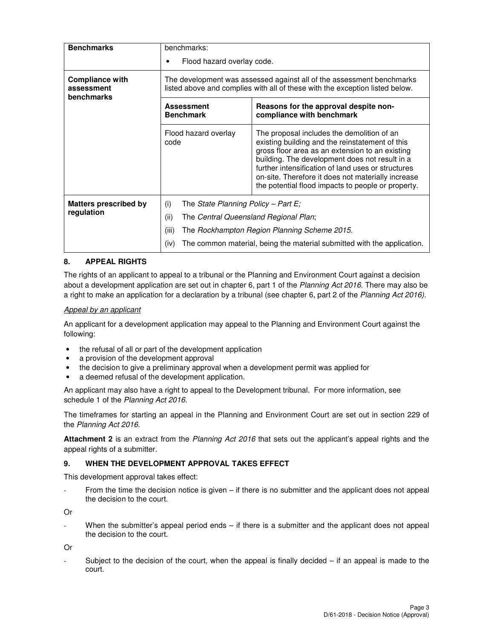| <b>Benchmarks</b>                                         | benchmarks:<br>Flood hazard overlay code.                                                                                                             |                                                                                                                                                                                                                                                                                                                                                                      |  |  |
|-----------------------------------------------------------|-------------------------------------------------------------------------------------------------------------------------------------------------------|----------------------------------------------------------------------------------------------------------------------------------------------------------------------------------------------------------------------------------------------------------------------------------------------------------------------------------------------------------------------|--|--|
| <b>Compliance with</b><br>assessment<br><b>benchmarks</b> | The development was assessed against all of the assessment benchmarks<br>listed above and complies with all of these with the exception listed below. |                                                                                                                                                                                                                                                                                                                                                                      |  |  |
|                                                           | <b>Assessment</b><br><b>Benchmark</b>                                                                                                                 | Reasons for the approval despite non-<br>compliance with benchmark                                                                                                                                                                                                                                                                                                   |  |  |
|                                                           | Flood hazard overlay<br>code                                                                                                                          | The proposal includes the demolition of an<br>existing building and the reinstatement of this<br>gross floor area as an extension to an existing<br>building. The development does not result in a<br>further intensification of land uses or structures<br>on-site. Therefore it does not materially increase<br>the potential flood impacts to people or property. |  |  |
| <b>Matters prescribed by</b>                              | (i)<br>The State Planning Policy – Part E;                                                                                                            |                                                                                                                                                                                                                                                                                                                                                                      |  |  |
| regulation                                                | (ii)<br>The Central Queensland Regional Plan;                                                                                                         |                                                                                                                                                                                                                                                                                                                                                                      |  |  |
|                                                           | (iii)                                                                                                                                                 | The Rockhampton Region Planning Scheme 2015.                                                                                                                                                                                                                                                                                                                         |  |  |
|                                                           | The common material, being the material submitted with the application.<br>(iv)                                                                       |                                                                                                                                                                                                                                                                                                                                                                      |  |  |

### **8. APPEAL RIGHTS**

The rights of an applicant to appeal to a tribunal or the Planning and Environment Court against a decision about a development application are set out in chapter 6, part 1 of the Planning Act 2016. There may also be a right to make an application for a declaration by a tribunal (see chapter 6, part 2 of the Planning Act 2016).

### Appeal by an applicant

An applicant for a development application may appeal to the Planning and Environment Court against the following:

- the refusal of all or part of the development application
- a provision of the development approval
- the decision to give a preliminary approval when a development permit was applied for
- a deemed refusal of the development application.

An applicant may also have a right to appeal to the Development tribunal. For more information, see schedule 1 of the Planning Act 2016.

The timeframes for starting an appeal in the Planning and Environment Court are set out in section 229 of the Planning Act 2016.

**Attachment 2** is an extract from the Planning Act 2016 that sets out the applicant's appeal rights and the appeal rights of a submitter.

#### **9. WHEN THE DEVELOPMENT APPROVAL TAKES EFFECT**

This development approval takes effect:

From the time the decision notice is given  $-$  if there is no submitter and the applicant does not appeal the decision to the court.

Or

When the submitter's appeal period ends – if there is a submitter and the applicant does not appeal the decision to the court.

Or

Subject to the decision of the court, when the appeal is finally decided  $-$  if an appeal is made to the court.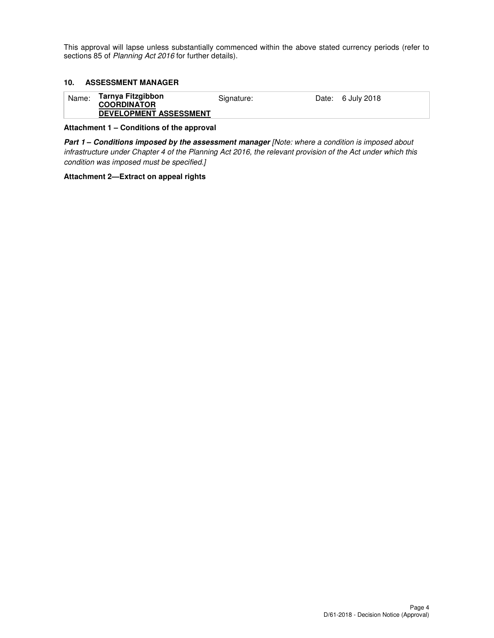This approval will lapse unless substantially commenced within the above stated currency periods (refer to sections 85 of Planning Act 2016 for further details).

#### **10. ASSESSMENT MANAGER**

| Name: | Tarnya Fitzgibbon<br><b>COORDINATOR</b> | Signature: | Date: 6 July 2018 |
|-------|-----------------------------------------|------------|-------------------|
|       | <b>DEVELOPMENT ASSESSMENT</b>           |            |                   |

#### **Attachment 1 – Conditions of the approval**

**Part 1 – Conditions imposed by the assessment manager** [Note: where a condition is imposed about infrastructure under Chapter 4 of the Planning Act 2016, the relevant provision of the Act under which this condition was imposed must be specified.]

#### **Attachment 2—Extract on appeal rights**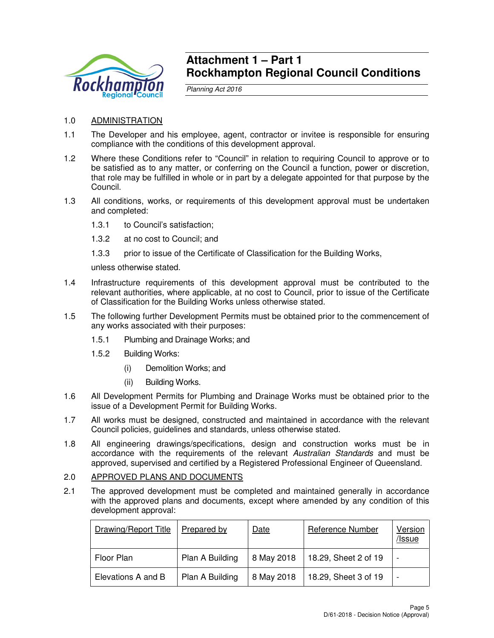

## **Attachment 1 – Part 1 Rockhampton Regional Council Conditions**

Planning Act 2016

- 1.0 ADMINISTRATION
- 1.1 The Developer and his employee, agent, contractor or invitee is responsible for ensuring compliance with the conditions of this development approval.
- 1.2 Where these Conditions refer to "Council" in relation to requiring Council to approve or to be satisfied as to any matter, or conferring on the Council a function, power or discretion, that role may be fulfilled in whole or in part by a delegate appointed for that purpose by the Council.
- 1.3 All conditions, works, or requirements of this development approval must be undertaken and completed:
	- 1.3.1 to Council's satisfaction;
	- 1.3.2 at no cost to Council; and
	- 1.3.3 prior to issue of the Certificate of Classification for the Building Works,

unless otherwise stated.

- 1.4 Infrastructure requirements of this development approval must be contributed to the relevant authorities, where applicable, at no cost to Council, prior to issue of the Certificate of Classification for the Building Works unless otherwise stated.
- 1.5 The following further Development Permits must be obtained prior to the commencement of any works associated with their purposes:
	- 1.5.1 Plumbing and Drainage Works; and
	- 1.5.2 Building Works:
		- (i) Demolition Works; and
		- (ii) Building Works.
- 1.6 All Development Permits for Plumbing and Drainage Works must be obtained prior to the issue of a Development Permit for Building Works.
- 1.7 All works must be designed, constructed and maintained in accordance with the relevant Council policies, guidelines and standards, unless otherwise stated.
- 1.8 All engineering drawings/specifications, design and construction works must be in accordance with the requirements of the relevant Australian Standards and must be approved, supervised and certified by a Registered Professional Engineer of Queensland.
- 2.0 APPROVED PLANS AND DOCUMENTS
- 2.1 The approved development must be completed and maintained generally in accordance with the approved plans and documents, except where amended by any condition of this development approval:

| Drawing/Report Title | Prepared by     | Date       | <b>Reference Number</b> | <b>Version</b><br>/Issue |
|----------------------|-----------------|------------|-------------------------|--------------------------|
| Floor Plan           | Plan A Building | 8 May 2018 | 18.29, Sheet 2 of 19    |                          |
| Elevations A and B   | Plan A Building | 8 May 2018 | 18.29, Sheet 3 of 19    |                          |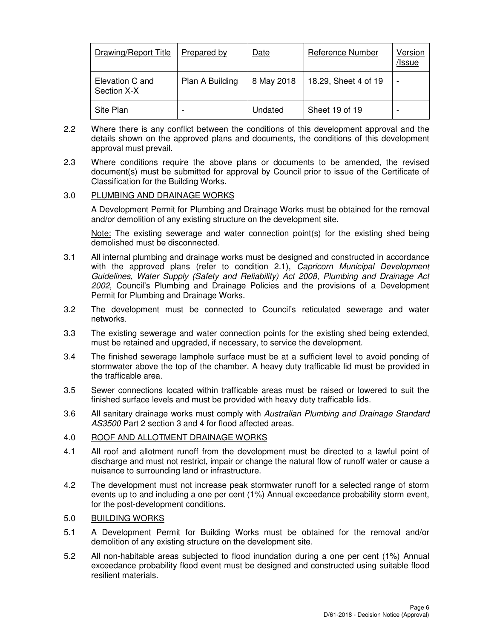| Drawing/Report Title           | Prepared by     | Date       | <b>Reference Number</b> | Version<br>/Issue |
|--------------------------------|-----------------|------------|-------------------------|-------------------|
| Elevation C and<br>Section X-X | Plan A Building | 8 May 2018 | 18.29, Sheet 4 of 19    | -                 |
| Site Plan                      |                 | Undated    | Sheet 19 of 19          |                   |

- 2.2 Where there is any conflict between the conditions of this development approval and the details shown on the approved plans and documents, the conditions of this development approval must prevail.
- 2.3 Where conditions require the above plans or documents to be amended, the revised document(s) must be submitted for approval by Council prior to issue of the Certificate of Classification for the Building Works.

## 3.0 PLUMBING AND DRAINAGE WORKS

A Development Permit for Plumbing and Drainage Works must be obtained for the removal and/or demolition of any existing structure on the development site.

Note: The existing sewerage and water connection point(s) for the existing shed being demolished must be disconnected.

- 3.1 All internal plumbing and drainage works must be designed and constructed in accordance with the approved plans (refer to condition 2.1), Capricorn Municipal Development Guidelines, Water Supply (Safety and Reliability) Act 2008, Plumbing and Drainage Act 2002, Council's Plumbing and Drainage Policies and the provisions of a Development Permit for Plumbing and Drainage Works.
- 3.2 The development must be connected to Council's reticulated sewerage and water networks.
- 3.3 The existing sewerage and water connection points for the existing shed being extended, must be retained and upgraded, if necessary, to service the development.
- 3.4 The finished sewerage lamphole surface must be at a sufficient level to avoid ponding of stormwater above the top of the chamber. A heavy duty trafficable lid must be provided in the trafficable area.
- 3.5 Sewer connections located within trafficable areas must be raised or lowered to suit the finished surface levels and must be provided with heavy duty trafficable lids.
- 3.6 All sanitary drainage works must comply with Australian Plumbing and Drainage Standard AS3500 Part 2 section 3 and 4 for flood affected areas.

### 4.0 ROOF AND ALLOTMENT DRAINAGE WORKS

- 4.1 All roof and allotment runoff from the development must be directed to a lawful point of discharge and must not restrict, impair or change the natural flow of runoff water or cause a nuisance to surrounding land or infrastructure.
- 4.2 The development must not increase peak stormwater runoff for a selected range of storm events up to and including a one per cent (1%) Annual exceedance probability storm event, for the post-development conditions.

## 5.0 BUILDING WORKS

- 5.1 A Development Permit for Building Works must be obtained for the removal and/or demolition of any existing structure on the development site.
- 5.2 All non-habitable areas subjected to flood inundation during a one per cent (1%) Annual exceedance probability flood event must be designed and constructed using suitable flood resilient materials.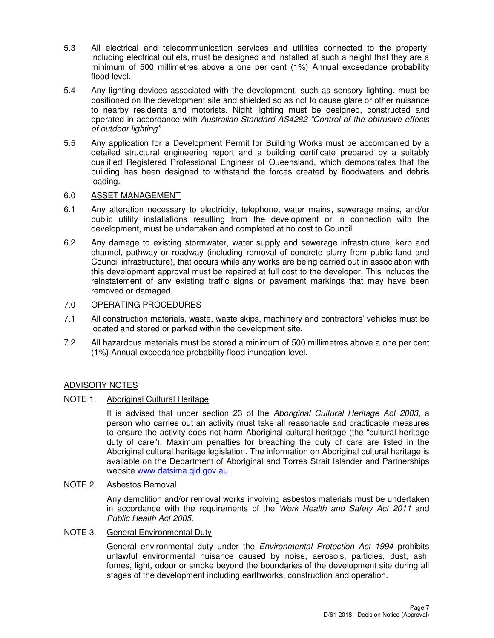- 5.3 All electrical and telecommunication services and utilities connected to the property, including electrical outlets, must be designed and installed at such a height that they are a minimum of 500 millimetres above a one per cent (1%) Annual exceedance probability flood level.
- 5.4 Any lighting devices associated with the development, such as sensory lighting, must be positioned on the development site and shielded so as not to cause glare or other nuisance to nearby residents and motorists. Night lighting must be designed, constructed and operated in accordance with Australian Standard AS4282 "Control of the obtrusive effects of outdoor lighting".
- 5.5 Any application for a Development Permit for Building Works must be accompanied by a detailed structural engineering report and a building certificate prepared by a suitably qualified Registered Professional Engineer of Queensland, which demonstrates that the building has been designed to withstand the forces created by floodwaters and debris loading.

## 6.0 ASSET MANAGEMENT

- 6.1 Any alteration necessary to electricity, telephone, water mains, sewerage mains, and/or public utility installations resulting from the development or in connection with the development, must be undertaken and completed at no cost to Council.
- 6.2 Any damage to existing stormwater, water supply and sewerage infrastructure, kerb and channel, pathway or roadway (including removal of concrete slurry from public land and Council infrastructure), that occurs while any works are being carried out in association with this development approval must be repaired at full cost to the developer. This includes the reinstatement of any existing traffic signs or pavement markings that may have been removed or damaged.

## 7.0 OPERATING PROCEDURES

- 7.1 All construction materials, waste, waste skips, machinery and contractors' vehicles must be located and stored or parked within the development site.
- 7.2 All hazardous materials must be stored a minimum of 500 millimetres above a one per cent (1%) Annual exceedance probability flood inundation level.

## ADVISORY NOTES

### NOTE 1. Aboriginal Cultural Heritage

It is advised that under section 23 of the Aboriginal Cultural Heritage Act 2003, a person who carries out an activity must take all reasonable and practicable measures to ensure the activity does not harm Aboriginal cultural heritage (the "cultural heritage duty of care"). Maximum penalties for breaching the duty of care are listed in the Aboriginal cultural heritage legislation. The information on Aboriginal cultural heritage is available on the Department of Aboriginal and Torres Strait Islander and Partnerships website www.datsima.qld.gov.au.

### NOTE 2. Asbestos Removal

Any demolition and/or removal works involving asbestos materials must be undertaken in accordance with the requirements of the Work Health and Safety Act 2011 and Public Health Act 2005.

## NOTE 3. General Environmental Duty

General environmental duty under the *Environmental Protection Act 1994* prohibits unlawful environmental nuisance caused by noise, aerosols, particles, dust, ash, fumes, light, odour or smoke beyond the boundaries of the development site during all stages of the development including earthworks, construction and operation.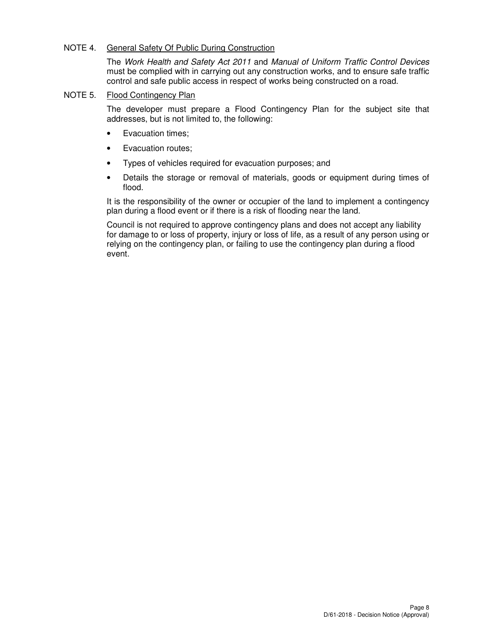## NOTE 4. General Safety Of Public During Construction

The Work Health and Safety Act 2011 and Manual of Uniform Traffic Control Devices must be complied with in carrying out any construction works, and to ensure safe traffic control and safe public access in respect of works being constructed on a road.

## NOTE 5. Flood Contingency Plan

The developer must prepare a Flood Contingency Plan for the subject site that addresses, but is not limited to, the following:

- Evacuation times;
- Evacuation routes;
- Types of vehicles required for evacuation purposes; and
- Details the storage or removal of materials, goods or equipment during times of flood.

It is the responsibility of the owner or occupier of the land to implement a contingency plan during a flood event or if there is a risk of flooding near the land.

Council is not required to approve contingency plans and does not accept any liability for damage to or loss of property, injury or loss of life, as a result of any person using or relying on the contingency plan, or failing to use the contingency plan during a flood event.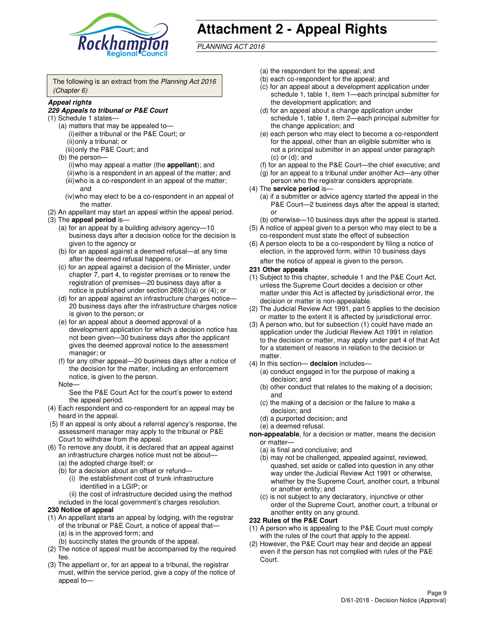

# **Attachment 2 - Appeal Rights**

PLANNING ACT 2016

The following is an extract from the Planning Act 2016 (Chapter 6)

#### **Appeal rights**

#### **229 Appeals to tribunal or P&E Court**

- (1) Schedule 1 states—
	- (a) matters that may be appealed to— (i) either a tribunal or the P&E Court; or (ii) only a tribunal; or (iii) only the P&E Court; and
	- (b) the person—
		- (i) who may appeal a matter (the **appellant**); and
		- (ii) who is a respondent in an appeal of the matter; and (iii) who is a co-respondent in an appeal of the matter; and
		- (iv) who may elect to be a co-respondent in an appeal of the matter.
- (2) An appellant may start an appeal within the appeal period.
- (3) The **appeal period** is—
	- (a) for an appeal by a building advisory agency—10 business days after a decision notice for the decision is given to the agency or
	- (b) for an appeal against a deemed refusal—at any time after the deemed refusal happens; or
	- (c) for an appeal against a decision of the Minister, under chapter 7, part 4, to register premises or to renew the registration of premises—20 business days after a notice is published under section 269(3)(a) or (4); or
	- (d) for an appeal against an infrastructure charges notice— 20 business days after the infrastructure charges notice is given to the person; or
	- (e) for an appeal about a deemed approval of a development application for which a decision notice has not been given—30 business days after the applicant gives the deemed approval notice to the assessment manager; or
	- (f) for any other appeal—20 business days after a notice of the decision for the matter, including an enforcement notice, is given to the person.
	- Note—

See the P&E Court Act for the court's power to extend the appeal period.

- (4) Each respondent and co-respondent for an appeal may be heard in the appeal.
- (5) If an appeal is only about a referral agency's response, the assessment manager may apply to the tribunal or P&E Court to withdraw from the appeal.
- (6) To remove any doubt, it is declared that an appeal against an infrastructure charges notice must not be about—
	- (a) the adopted charge itself; or
	- (b) for a decision about an offset or refund—
		- (i) the establishment cost of trunk infrastructure identified in a LGIP; or
		- (ii) the cost of infrastructure decided using the method
- included in the local government's charges resolution. **230 Notice of appeal**
- (1) An appellant starts an appeal by lodging, with the registrar of the tribunal or P&E Court, a notice of appeal that—
	- (a) is in the approved form; and
	- (b) succinctly states the grounds of the appeal.
- (2) The notice of appeal must be accompanied by the required fee.
- (3) The appellant or, for an appeal to a tribunal, the registrar must, within the service period, give a copy of the notice of appeal to—
- (a) the respondent for the appeal; and
- (b) each co-respondent for the appeal; and
- (c) for an appeal about a development application under schedule 1, table 1, item 1—each principal submitter for the development application; and
- (d) for an appeal about a change application under schedule 1, table 1, item 2—each principal submitter for the change application; and
- (e) each person who may elect to become a co-respondent for the appeal, other than an eligible submitter who is not a principal submitter in an appeal under paragraph  $(c)$  or  $(d)$ ; and
- (f) for an appeal to the P&E Court—the chief executive; and
- (g) for an appeal to a tribunal under another Act—any other person who the registrar considers appropriate.
- (4) The **service period** is—
	- (a) if a submitter or advice agency started the appeal in the P&E Court—2 business days after the appeal is started; or
	- (b) otherwise—10 business days after the appeal is started.
- (5) A notice of appeal given to a person who may elect to be a co-respondent must state the effect of subsection
- (6) A person elects to be a co-respondent by filing a notice of election, in the approved form, within 10 business days after the notice of appeal is given to the person*.*
- **231 Other appeals**
- (1) Subject to this chapter, schedule 1 and the P&E Court Act, unless the Supreme Court decides a decision or other matter under this Act is affected by jurisdictional error, the decision or matter is non-appealable.
- (2) The Judicial Review Act 1991, part 5 applies to the decision or matter to the extent it is affected by jurisdictional error.
- (3) A person who, but for subsection (1) could have made an application under the Judicial Review Act 1991 in relation to the decision or matter, may apply under part 4 of that Act for a statement of reasons in relation to the decision or matter.
- (4) In this section— **decision** includes—
	- (a) conduct engaged in for the purpose of making a decision; and
	- (b) other conduct that relates to the making of a decision; and
	- (c) the making of a decision or the failure to make a decision; and
	- (d) a purported decision; and
	- (e) a deemed refusal.

**non-appealable**, for a decision or matter, means the decision or matter—

- (a) is final and conclusive; and
- (b) may not be challenged, appealed against, reviewed, quashed, set aside or called into question in any other way under the Judicial Review Act 1991 or otherwise, whether by the Supreme Court, another court, a tribunal or another entity; and
- (c) is not subject to any declaratory, injunctive or other order of the Supreme Court, another court, a tribunal or another entity on any ground.

#### **232 Rules of the P&E Court**

- (1) A person who is appealing to the P&E Court must comply with the rules of the court that apply to the appeal.
- (2) However, the P&E Court may hear and decide an appeal even if the person has not complied with rules of the P&E Court.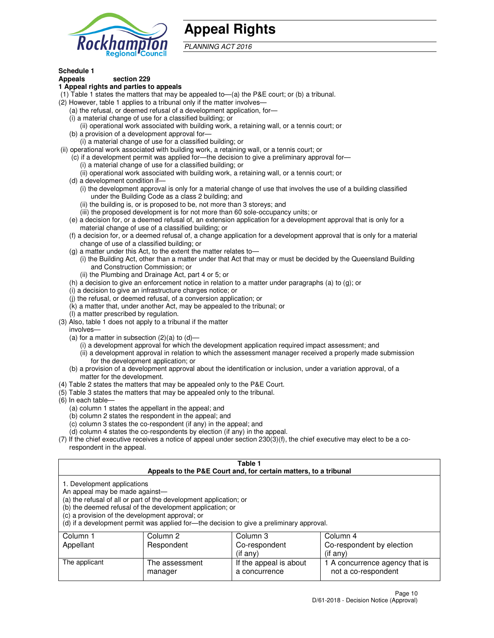

## **Appeal Rights**

PLANNING ACT 2016

## **Schedule 1**

## **Appeals section 229**

#### **1 Appeal rights and parties to appeals**

- (1) Table 1 states the matters that may be appealed to—(a) the P&E court; or (b) a tribunal.
- (2) However, table 1 applies to a tribunal only if the matter involves—
	- (a) the refusal, or deemed refusal of a development application, for—
	- (i) a material change of use for a classified building; or
	- (ii) operational work associated with building work, a retaining wall, or a tennis court; or
	- (b) a provision of a development approval for—
	- (i) a material change of use for a classified building; or
- (ii) operational work associated with building work, a retaining wall, or a tennis court; or
	- (c) if a development permit was applied for—the decision to give a preliminary approval for—
		- (i) a material change of use for a classified building; or
		- (ii) operational work associated with building work, a retaining wall, or a tennis court; or
	- (d) a development condition if—
		- (i) the development approval is only for a material change of use that involves the use of a building classified under the Building Code as a class 2 building; and
		- (ii) the building is, or is proposed to be, not more than 3 storeys; and
		- (iii) the proposed development is for not more than 60 sole-occupancy units; or
	- (e) a decision for, or a deemed refusal of, an extension application for a development approval that is only for a material change of use of a classified building; or
	- (f) a decision for, or a deemed refusal of, a change application for a development approval that is only for a material change of use of a classified building; or
	- (g) a matter under this Act, to the extent the matter relates to—
		- (i) the Building Act, other than a matter under that Act that may or must be decided by the Queensland Building and Construction Commission; or
		- (ii) the Plumbing and Drainage Act, part 4 or 5; or
	- (h) a decision to give an enforcement notice in relation to a matter under paragraphs (a) to (g); or
	- (i) a decision to give an infrastructure charges notice; or
	- (j) the refusal, or deemed refusal, of a conversion application; or
	- (k) a matter that, under another Act, may be appealed to the tribunal; or
	- (l) a matter prescribed by regulation.
- (3) Also, table 1 does not apply to a tribunal if the matter
	- involves—
	- (a) for a matter in subsection  $(2)(a)$  to  $(d)$ 
		- (i) a development approval for which the development application required impact assessment; and
		- (ii) a development approval in relation to which the assessment manager received a properly made submission for the development application; or
	- (b) a provision of a development approval about the identification or inclusion, under a variation approval, of a matter for the development.
- (4) Table 2 states the matters that may be appealed only to the P&E Court.
- (5) Table 3 states the matters that may be appealed only to the tribunal.
- (6) In each table—
	- (a) column 1 states the appellant in the appeal; and
	- (b) column 2 states the respondent in the appeal; and
	- (c) column 3 states the co-respondent (if any) in the appeal; and
	- (d) column 4 states the co-respondents by election (if any) in the appeal.
- $(7)$  If the chief executive receives a notice of appeal under section  $230(3)(f)$ , the chief executive may elect to be a corespondent in the appeal.

| Table 1<br>Appeals to the P&E Court and, for certain matters, to a tribunal                                      |                                                                                                                                |                                                                                          |                                                       |  |
|------------------------------------------------------------------------------------------------------------------|--------------------------------------------------------------------------------------------------------------------------------|------------------------------------------------------------------------------------------|-------------------------------------------------------|--|
| 1. Development applications<br>An appeal may be made against-<br>(c) a provision of the development approval; or | (a) the refusal of all or part of the development application; or<br>(b) the deemed refusal of the development application; or | (d) if a development permit was applied for—the decision to give a preliminary approval. |                                                       |  |
| Column 3<br>Column 4<br>Column 2<br>Column 1                                                                     |                                                                                                                                |                                                                                          |                                                       |  |
| Appellant                                                                                                        | Respondent                                                                                                                     | Co-respondent                                                                            | Co-respondent by election                             |  |
|                                                                                                                  |                                                                                                                                | (if any)                                                                                 | $($ if any $)$                                        |  |
| The applicant                                                                                                    | The assessment<br>manager                                                                                                      | If the appeal is about<br>a concurrence                                                  | 1 A concurrence agency that is<br>not a co-respondent |  |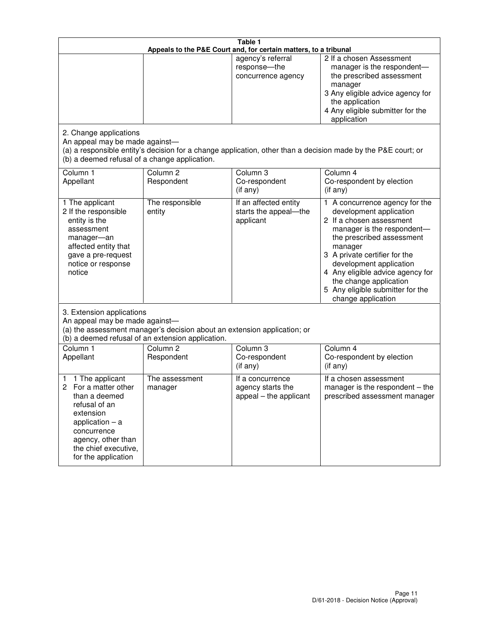|                                                                                                                                                                                                         | Table 1<br>Appeals to the P&E Court and, for certain matters, to a tribunal                                                   |                                                                 |                                                                                                                                                                                                                                                                                                                                                 |  |
|---------------------------------------------------------------------------------------------------------------------------------------------------------------------------------------------------------|-------------------------------------------------------------------------------------------------------------------------------|-----------------------------------------------------------------|-------------------------------------------------------------------------------------------------------------------------------------------------------------------------------------------------------------------------------------------------------------------------------------------------------------------------------------------------|--|
|                                                                                                                                                                                                         |                                                                                                                               | agency's referral<br>response-the<br>concurrence agency         | 2 If a chosen Assessment<br>manager is the respondent-<br>the prescribed assessment<br>manager<br>3 Any eligible advice agency for<br>the application<br>4 Any eligible submitter for the<br>application                                                                                                                                        |  |
| 2. Change applications<br>An appeal may be made against-<br>(b) a deemed refusal of a change application.                                                                                               |                                                                                                                               |                                                                 | (a) a responsible entity's decision for a change application, other than a decision made by the P&E court; or                                                                                                                                                                                                                                   |  |
| Column 1<br>Appellant                                                                                                                                                                                   | Column <sub>2</sub><br>Respondent                                                                                             | Column 3<br>Co-respondent<br>(if any)                           | Column 4<br>Co-respondent by election<br>(if any)                                                                                                                                                                                                                                                                                               |  |
| 1 The applicant<br>2 If the responsible<br>entity is the<br>assessment<br>manager-an<br>affected entity that<br>gave a pre-request<br>notice or response<br>notice                                      | The responsible<br>entity                                                                                                     | If an affected entity<br>starts the appeal-the<br>applicant     | 1 A concurrence agency for the<br>development application<br>2 If a chosen assessment<br>manager is the respondent-<br>the prescribed assessment<br>manager<br>3 A private certifier for the<br>development application<br>4 Any eligible advice agency for<br>the change application<br>5 Any eligible submitter for the<br>change application |  |
| 3. Extension applications<br>An appeal may be made against-                                                                                                                                             | (a) the assessment manager's decision about an extension application; or<br>(b) a deemed refusal of an extension application. |                                                                 |                                                                                                                                                                                                                                                                                                                                                 |  |
| Column 1<br>Appellant                                                                                                                                                                                   | Column <sub>2</sub><br>Respondent                                                                                             | Column 3<br>Co-respondent<br>(if any)                           | Column 4<br>Co-respondent by election<br>(if any)                                                                                                                                                                                                                                                                                               |  |
| 1 The applicant<br>1<br>For a matter other<br>2<br>than a deemed<br>refusal of an<br>extension<br>application $-$ a<br>concurrence<br>agency, other than<br>the chief executive,<br>for the application | The assessment<br>manager                                                                                                     | If a concurrence<br>agency starts the<br>appeal - the applicant | If a chosen assessment<br>manager is the respondent – the<br>prescribed assessment manager                                                                                                                                                                                                                                                      |  |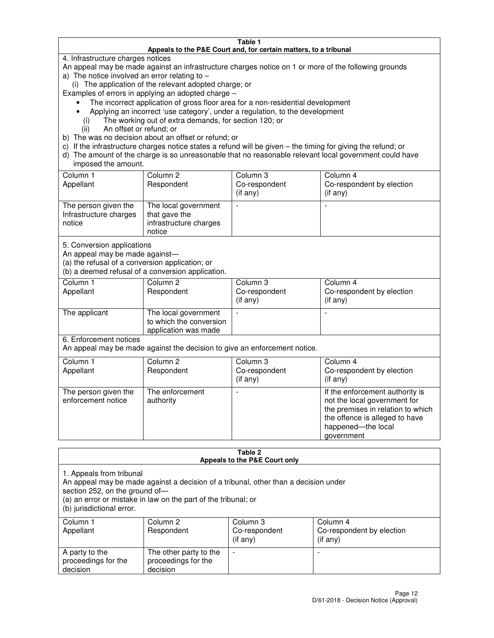#### **Table 1 Appeals to the P&E Court and, for certain matters, to a tribunal**

4. Infrastructure charges notices

An appeal may be made against an infrastructure charges notice on 1 or more of the following grounds

- a) The notice involved an error relating to
	- (i) The application of the relevant adopted charge; or

Examples of errors in applying an adopted charge –

- The incorrect application of gross floor area for a non-residential development
- Applying an incorrect 'use category', under a regulation, to the development
	- (i) The working out of extra demands, for section 120; or
	- (ii) An offset or refund; or
- b) The was no decision about an offset or refund; or
- c) If the infrastructure charges notice states a refund will be given the timing for giving the refund; or
- d) The amount of the charge is so unreasonable that no reasonable relevant local government could have imposed the amount.

| Column 1<br>Appellant                                    | Column 2<br>Respondent                                                    | Column 3<br>Co-respondent<br>$($ if any $)$ | Column 4<br>Co-respondent by election<br>$($ if any $)$ |
|----------------------------------------------------------|---------------------------------------------------------------------------|---------------------------------------------|---------------------------------------------------------|
| The person given the<br>Infrastructure charges<br>notice | The local government<br>that gave the<br>infrastructure charges<br>notice |                                             |                                                         |

5. Conversion applications

An appeal may be made against—

(a) the refusal of a conversion application; or

(b) a deemed refusal of a conversion application.

| Column 1<br>Appellant | Column 2<br>Respondent                                                  | Column 3<br>Co-respondent<br>$($ if any $)$ | Column 4<br>Co-respondent by election<br>$($ if any $)$ |
|-----------------------|-------------------------------------------------------------------------|---------------------------------------------|---------------------------------------------------------|
| The applicant         | The local government<br>to which the conversion<br>application was made |                                             |                                                         |

6. Enforcement notices

An appeal may be made against the decision to give an enforcement notice.

| Column 1<br>Appellant                      | Column 2<br>Respondent       | Column 3<br>Co-respondent<br>$($ if any $)$ | Column 4<br>Co-respondent by election<br>(if any)                                                                                                                          |
|--------------------------------------------|------------------------------|---------------------------------------------|----------------------------------------------------------------------------------------------------------------------------------------------------------------------------|
| The person given the<br>enforcement notice | The enforcement<br>authority |                                             | If the enforcement authority is<br>not the local government for<br>the premises in relation to which<br>the offence is alleged to have<br>happened-the local<br>government |

#### **Table 2 Appeals to the P&E Court only**

1. Appeals from tribunal

An appeal may be made against a decision of a tribunal, other than a decision under

section 252, on the ground of—

(a) an error or mistake in law on the part of the tribunal; or

(b) jurisdictional error.

| Column 1<br>Appellant                             | Column 2<br>Respondent                                    | Column 3<br>Co-respondent<br>(if any) | Column 4<br>Co-respondent by election<br>(if any) |
|---------------------------------------------------|-----------------------------------------------------------|---------------------------------------|---------------------------------------------------|
| A party to the<br>proceedings for the<br>decision | The other party to the<br>proceedings for the<br>decision | $\overline{\phantom{a}}$              |                                                   |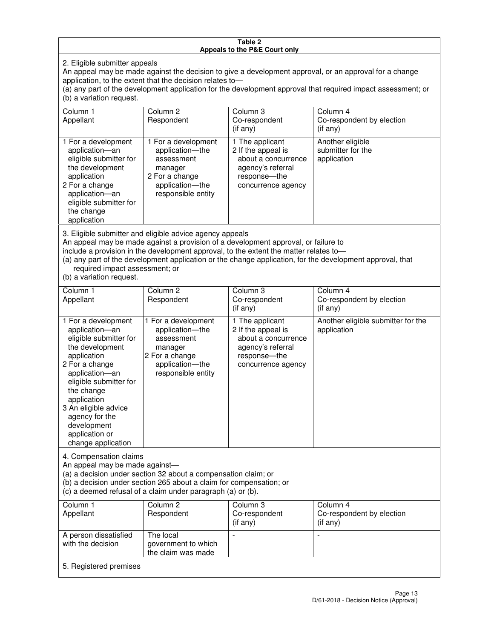#### **Table 2 Appeals to the P&E Court only**

2. Eligible submitter appeals

An appeal may be made against the decision to give a development approval, or an approval for a change application, to the extent that the decision relates to—

(a) any part of the development application for the development approval that required impact assessment; or (b) a variation request.

| Column 1<br>Appellant                                                                                                                                                                                                                                                                                                                                                                                              | Column 2<br>Respondent                                                                                                     | Column 3<br>Co-respondent<br>(if any)                                                                                   | Column 4<br>Co-respondent by election<br>$(if$ any)  |  |
|--------------------------------------------------------------------------------------------------------------------------------------------------------------------------------------------------------------------------------------------------------------------------------------------------------------------------------------------------------------------------------------------------------------------|----------------------------------------------------------------------------------------------------------------------------|-------------------------------------------------------------------------------------------------------------------------|------------------------------------------------------|--|
| 1 For a development<br>application-an<br>eligible submitter for<br>the development<br>application<br>2 For a change<br>application-an<br>eligible submitter for<br>the change<br>application                                                                                                                                                                                                                       | 1 For a development<br>application-the<br>assessment<br>manager<br>2 For a change<br>application-the<br>responsible entity | 1 The applicant<br>2 If the appeal is<br>about a concurrence<br>agency's referral<br>response-the<br>concurrence agency | Another eligible<br>submitter for the<br>application |  |
| 3. Eligible submitter and eligible advice agency appeals<br>An appeal may be made against a provision of a development approval, or failure to<br>include a provision in the development approval, to the extent the matter relates to-<br>(a) any part of the development application or the change application, for the development approval, that<br>required impact assessment; or<br>(b) a variation request. |                                                                                                                            |                                                                                                                         |                                                      |  |
| Column 1<br>Appellant                                                                                                                                                                                                                                                                                                                                                                                              | Column <sub>2</sub><br>Respondent                                                                                          | Column 3<br>Co-respondent<br>(if any)                                                                                   | Column 4<br>Co-respondent by election<br>(if any)    |  |

| . .                                                                                                                                                                                                                                                                                           |                                                                                                                            | (if any)                                                                                                                  | (if any)                                          |
|-----------------------------------------------------------------------------------------------------------------------------------------------------------------------------------------------------------------------------------------------------------------------------------------------|----------------------------------------------------------------------------------------------------------------------------|---------------------------------------------------------------------------------------------------------------------------|---------------------------------------------------|
| 1 For a development<br>application-an<br>eligible submitter for<br>the development<br>application<br>2 For a change<br>application-an<br>eligible submitter for<br>the change<br>application<br>3 An eligible advice<br>agency for the<br>development<br>application or<br>change application | 1 For a development<br>application-the<br>assessment<br>manager<br>2 For a change<br>application-the<br>responsible entity | 1 The applicant<br>2 If the appeal is<br>about a concurrence<br>agency's referral<br>response---the<br>concurrence agency | Another eligible submitter for the<br>application |
|                                                                                                                                                                                                                                                                                               |                                                                                                                            |                                                                                                                           |                                                   |

4. Compensation claims

An appeal may be made against—

(a) a decision under section 32 about a compensation claim; or

(b) a decision under section 265 about a claim for compensation; or

(c) a deemed refusal of a claim under paragraph (a) or (b).

| Column 1<br>Appellant                      | Column 2<br>Respondent                                 | Column 3<br>Co-respondent<br>$($ if any $)$ | Column 4<br>Co-respondent by election<br>(if any) |  |
|--------------------------------------------|--------------------------------------------------------|---------------------------------------------|---------------------------------------------------|--|
| A person dissatisfied<br>with the decision | The local<br>government to which<br>the claim was made |                                             |                                                   |  |
| 5. Registered premises                     |                                                        |                                             |                                                   |  |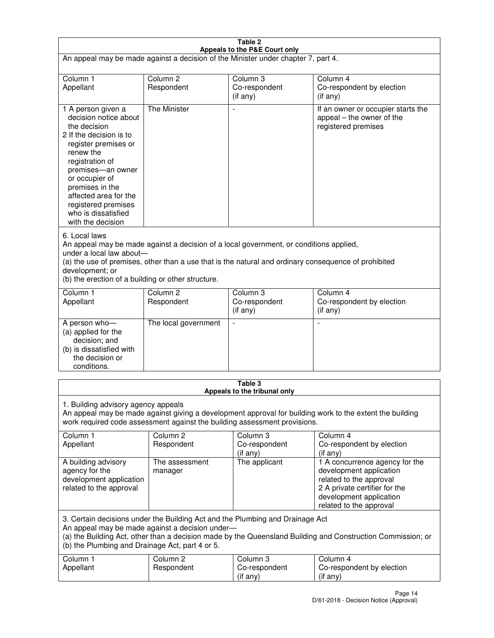| Table 2                                                                                                                                                                                                                                                                                                              |                                   |                                                                           |                                                                                                                                                                             |  |
|----------------------------------------------------------------------------------------------------------------------------------------------------------------------------------------------------------------------------------------------------------------------------------------------------------------------|-----------------------------------|---------------------------------------------------------------------------|-----------------------------------------------------------------------------------------------------------------------------------------------------------------------------|--|
| Appeals to the P&E Court only<br>An appeal may be made against a decision of the Minister under chapter 7, part 4.                                                                                                                                                                                                   |                                   |                                                                           |                                                                                                                                                                             |  |
| Column 1                                                                                                                                                                                                                                                                                                             | Column <sub>2</sub>               | Column <sub>3</sub>                                                       | Column 4                                                                                                                                                                    |  |
| Appellant                                                                                                                                                                                                                                                                                                            | Respondent                        | Co-respondent<br>(if any)                                                 | Co-respondent by election<br>(if any)                                                                                                                                       |  |
| 1 A person given a<br>decision notice about<br>the decision<br>2 If the decision is to<br>register premises or<br>renew the<br>registration of<br>premises-an owner<br>or occupier of<br>premises in the<br>affected area for the<br>registered premises<br>who is dissatisfied<br>with the decision                 | <b>The Minister</b>               | ÷,                                                                        | If an owner or occupier starts the<br>appeal – the owner of the<br>registered premises                                                                                      |  |
| 6. Local laws<br>An appeal may be made against a decision of a local government, or conditions applied,<br>under a local law about-<br>(a) the use of premises, other than a use that is the natural and ordinary consequence of prohibited<br>development; or<br>(b) the erection of a building or other structure. |                                   |                                                                           |                                                                                                                                                                             |  |
| Column 1<br>Appellant                                                                                                                                                                                                                                                                                                | Column <sub>2</sub><br>Respondent | Column 3<br>Co-respondent<br>(if any)                                     | Column 4<br>Co-respondent by election<br>(if any)                                                                                                                           |  |
| A person who-<br>(a) applied for the<br>decision; and<br>(b) is dissatisfied with<br>the decision or<br>conditions.                                                                                                                                                                                                  | The local government              |                                                                           |                                                                                                                                                                             |  |
|                                                                                                                                                                                                                                                                                                                      |                                   | Table 3<br>Appeals to the tribunal only                                   |                                                                                                                                                                             |  |
| 1. Building advisory agency appeals                                                                                                                                                                                                                                                                                  |                                   | work required code assessment against the building assessment provisions. | An appeal may be made against giving a development approval for building work to the extent the building                                                                    |  |
| Column 1<br>Appellant                                                                                                                                                                                                                                                                                                | Column <sub>2</sub><br>Respondent | Column 3<br>Co-respondent<br>(if any)                                     | Column 4<br>Co-respondent by election<br>(if any)                                                                                                                           |  |
| A building advisory<br>agency for the<br>development application<br>related to the approval                                                                                                                                                                                                                          | The assessment<br>manager         | The applicant                                                             | 1 A concurrence agency for the<br>development application<br>related to the approval<br>2 A private certifier for the<br>development application<br>related to the approval |  |
| 3. Certain decisions under the Building Act and the Plumbing and Drainage Act<br>An appeal may be made against a decision under-<br>(a) the Building Act, other than a decision made by the Queensland Building and Construction Commission; or<br>(b) the Plumbing and Drainage Act, part 4 or 5.                   |                                   |                                                                           |                                                                                                                                                                             |  |
| Column 1<br>Appellant                                                                                                                                                                                                                                                                                                | Column <sub>2</sub><br>Respondent | Column 3<br>Co-respondent<br>(if any)                                     | Column 4<br>Co-respondent by election<br>(if any)                                                                                                                           |  |